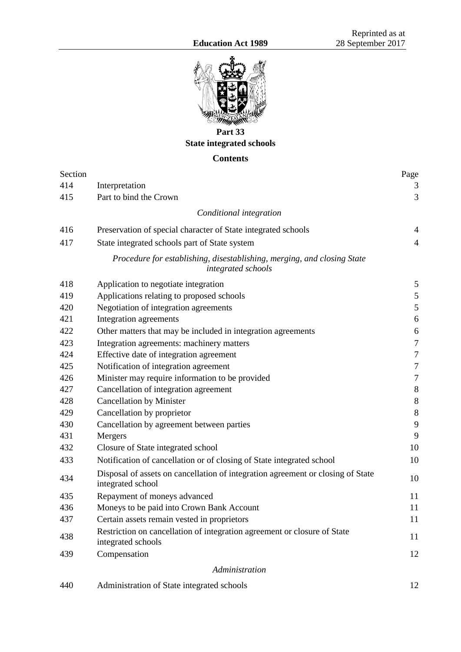

**Part 33 State integrated schools**

# **Contents**

| Section |                                                                                                      | Page             |
|---------|------------------------------------------------------------------------------------------------------|------------------|
| 414     | Interpretation                                                                                       | 3                |
| 415     | Part to bind the Crown                                                                               | 3                |
|         | Conditional integration                                                                              |                  |
| 416     | Preservation of special character of State integrated schools                                        | $\overline{4}$   |
| 417     | State integrated schools part of State system                                                        | $\overline{4}$   |
|         | Procedure for establishing, disestablishing, merging, and closing State<br>integrated schools        |                  |
| 418     | Application to negotiate integration                                                                 | 5                |
| 419     | Applications relating to proposed schools                                                            | $\mathfrak s$    |
| 420     | Negotiation of integration agreements                                                                | $\mathfrak s$    |
| 421     | Integration agreements                                                                               | 6                |
| 422     | Other matters that may be included in integration agreements                                         | 6                |
| 423     | Integration agreements: machinery matters                                                            | $\tau$           |
| 424     | Effective date of integration agreement                                                              | $\tau$           |
| 425     | Notification of integration agreement                                                                | $\boldsymbol{7}$ |
| 426     | Minister may require information to be provided                                                      | $\tau$           |
| 427     | Cancellation of integration agreement                                                                | $\,8\,$          |
| 428     | <b>Cancellation by Minister</b>                                                                      | $8\,$            |
| 429     | Cancellation by proprietor                                                                           | $\,8\,$          |
| 430     | Cancellation by agreement between parties                                                            | 9                |
| 431     | Mergers                                                                                              | 9                |
| 432     | Closure of State integrated school                                                                   | 10               |
| 433     | Notification of cancellation or of closing of State integrated school                                | 10               |
| 434     | Disposal of assets on cancellation of integration agreement or closing of State<br>integrated school | 10               |
| 435     | Repayment of moneys advanced                                                                         | 11               |
| 436     | Moneys to be paid into Crown Bank Account                                                            | 11               |
| 437     | Certain assets remain vested in proprietors                                                          | 11               |
| 438     | Restriction on cancellation of integration agreement or closure of State<br>integrated schools       | 11               |
| 439     | Compensation                                                                                         | 12               |
|         | Administration                                                                                       |                  |
| 440     | Administration of State integrated schools                                                           | 12               |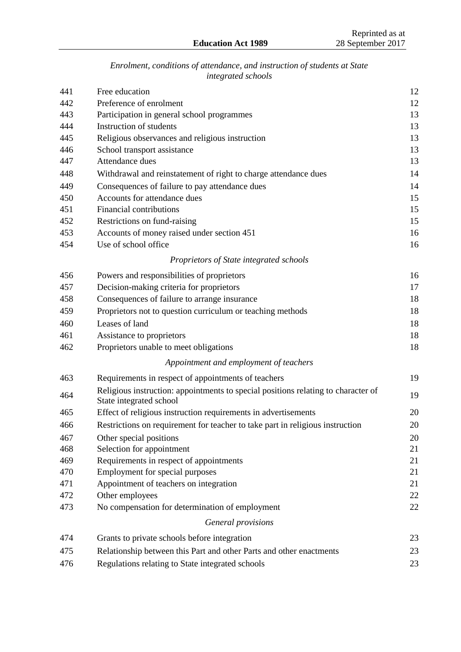# *Enrolment, conditions of attendance, and instruction of students at State integrated schools*

| Free education                                                                                               | 12                                                                                                                                                                                                                                                                                                         |
|--------------------------------------------------------------------------------------------------------------|------------------------------------------------------------------------------------------------------------------------------------------------------------------------------------------------------------------------------------------------------------------------------------------------------------|
| Preference of enrolment                                                                                      | 12                                                                                                                                                                                                                                                                                                         |
| Participation in general school programmes                                                                   | 13                                                                                                                                                                                                                                                                                                         |
| Instruction of students                                                                                      | 13                                                                                                                                                                                                                                                                                                         |
| Religious observances and religious instruction                                                              | 13                                                                                                                                                                                                                                                                                                         |
| School transport assistance                                                                                  | 13                                                                                                                                                                                                                                                                                                         |
| Attendance dues                                                                                              | 13                                                                                                                                                                                                                                                                                                         |
| Withdrawal and reinstatement of right to charge attendance dues                                              | 14                                                                                                                                                                                                                                                                                                         |
| Consequences of failure to pay attendance dues                                                               | 14                                                                                                                                                                                                                                                                                                         |
| Accounts for attendance dues                                                                                 | 15                                                                                                                                                                                                                                                                                                         |
| Financial contributions                                                                                      | 15                                                                                                                                                                                                                                                                                                         |
| Restrictions on fund-raising                                                                                 | 15                                                                                                                                                                                                                                                                                                         |
| Accounts of money raised under section 451                                                                   | 16                                                                                                                                                                                                                                                                                                         |
| Use of school office                                                                                         | 16                                                                                                                                                                                                                                                                                                         |
| Proprietors of State integrated schools                                                                      |                                                                                                                                                                                                                                                                                                            |
|                                                                                                              | 16                                                                                                                                                                                                                                                                                                         |
|                                                                                                              | 17                                                                                                                                                                                                                                                                                                         |
| Consequences of failure to arrange insurance                                                                 | 18                                                                                                                                                                                                                                                                                                         |
|                                                                                                              | 18                                                                                                                                                                                                                                                                                                         |
| Leases of land                                                                                               | 18                                                                                                                                                                                                                                                                                                         |
|                                                                                                              | 18                                                                                                                                                                                                                                                                                                         |
| Proprietors unable to meet obligations                                                                       | 18                                                                                                                                                                                                                                                                                                         |
| Appointment and employment of teachers                                                                       |                                                                                                                                                                                                                                                                                                            |
|                                                                                                              | 19                                                                                                                                                                                                                                                                                                         |
| Religious instruction: appointments to special positions relating to character of<br>State integrated school | 19                                                                                                                                                                                                                                                                                                         |
|                                                                                                              | 20                                                                                                                                                                                                                                                                                                         |
| Restrictions on requirement for teacher to take part in religious instruction                                | 20                                                                                                                                                                                                                                                                                                         |
| Other special positions                                                                                      | 20                                                                                                                                                                                                                                                                                                         |
| Selection for appointment                                                                                    | 21                                                                                                                                                                                                                                                                                                         |
| Requirements in respect of appointments                                                                      | 21                                                                                                                                                                                                                                                                                                         |
| Employment for special purposes                                                                              | 21                                                                                                                                                                                                                                                                                                         |
| Appointment of teachers on integration                                                                       | 21                                                                                                                                                                                                                                                                                                         |
| Other employees                                                                                              | 22                                                                                                                                                                                                                                                                                                         |
| No compensation for determination of employment                                                              | 22                                                                                                                                                                                                                                                                                                         |
| General provisions                                                                                           |                                                                                                                                                                                                                                                                                                            |
| Grants to private schools before integration                                                                 | 23                                                                                                                                                                                                                                                                                                         |
| Relationship between this Part and other Parts and other enactments                                          | 23                                                                                                                                                                                                                                                                                                         |
| Regulations relating to State integrated schools                                                             | 23                                                                                                                                                                                                                                                                                                         |
|                                                                                                              | Powers and responsibilities of proprietors<br>Decision-making criteria for proprietors<br>Proprietors not to question curriculum or teaching methods<br>Assistance to proprietors<br>Requirements in respect of appointments of teachers<br>Effect of religious instruction requirements in advertisements |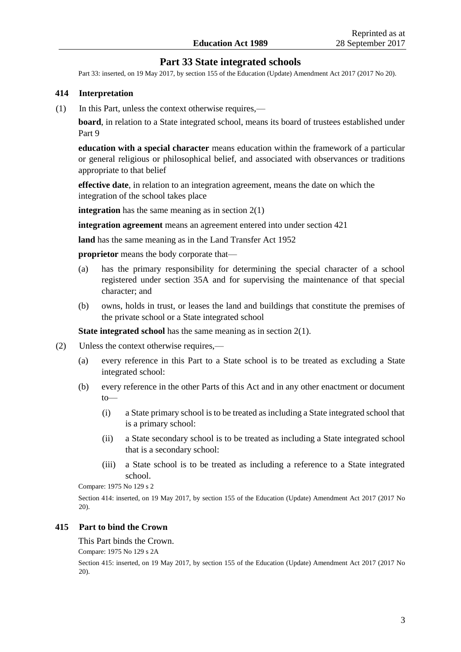# **Part 33 State integrated schools**

Part 33: inserted, on 19 May 2017, b[y section 155 o](http://prd-lgnz-nlb.prd.pco.net.nz/pdflink.aspx?id=DLM6928926)f the Education (Update) Amendment Act 2017 (2017 No 20).

#### **414 Interpretation**

(1) In this Part, unless the context otherwise requires,—

**board**, in relation to a State integrated school, means its board of trustees established under Part 9

**education with a special character** means education within the framework of a particular or general religious or philosophical belief, and associated with observances or traditions appropriate to that belief

**effective date**, in relation to an integration agreement, means the date on which the integration of the school takes place

**integration** has the same meaning as in section 2(1)

**integration agreement** means an agreement entered into under section 421

**land** has the same meaning as in the [Land Transfer Act 1952](http://prd-lgnz-nlb.prd.pco.net.nz/pdflink.aspx?id=DLM269031) 

**proprietor** means the body corporate that—

- (a) has the primary responsibility for determining the special character of a school registered under section 35A and for supervising the maintenance of that special character; and
- (b) owns, holds in trust, or leases the land and buildings that constitute the premises of the private school or a State integrated school

**State integrated school** has the same meaning as in section 2(1).

- (2) Unless the context otherwise requires,—
	- (a) every reference in this Part to a State school is to be treated as excluding a State integrated school:
	- (b) every reference in the other Parts of this Act and in any other enactment or document to—
		- (i) a State primary school is to be treated as including a State integrated school that is a primary school:
		- (ii) a State secondary school is to be treated as including a State integrated school that is a secondary school:
		- (iii) a State school is to be treated as including a reference to a State integrated school.

Compare: 1975 No 129 [s 2](http://prd-lgnz-nlb.prd.pco.net.nz/pdflink.aspx?id=DLM437352)

Section 414: inserted, on 19 May 2017, by [section 155 o](http://prd-lgnz-nlb.prd.pco.net.nz/pdflink.aspx?id=DLM6928926)f the Education (Update) Amendment Act 2017 (2017 No 20).

#### **415 Part to bind the Crown**

This Part binds the Crown.

Compare: 1975 No 129 [s 2A](http://prd-lgnz-nlb.prd.pco.net.nz/pdflink.aspx?id=DLM437377)

Section 415: inserted, on 19 May 2017, by [section 155 o](http://prd-lgnz-nlb.prd.pco.net.nz/pdflink.aspx?id=DLM6928926)f the Education (Update) Amendment Act 2017 (2017 No 20).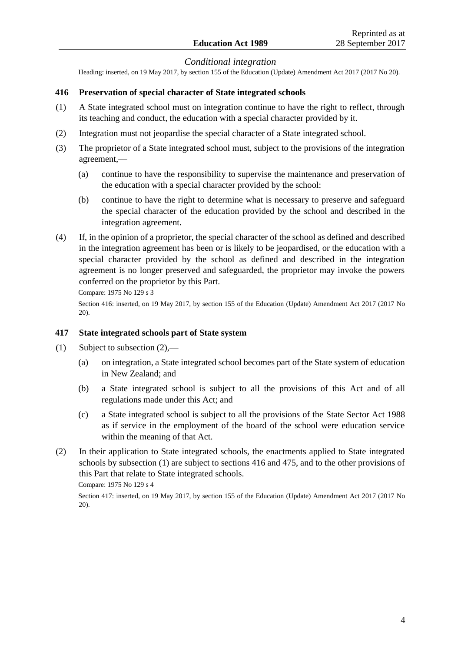# *Conditional integration*

Heading: inserted, on 19 May 2017, b[y section 155](http://prd-lgnz-nlb.prd.pco.net.nz/pdflink.aspx?id=DLM6928926) of the Education (Update) Amendment Act 2017 (2017 No 20).

### **416 Preservation of special character of State integrated schools**

- (1) A State integrated school must on integration continue to have the right to reflect, through its teaching and conduct, the education with a special character provided by it.
- (2) Integration must not jeopardise the special character of a State integrated school.
- (3) The proprietor of a State integrated school must, subject to the provisions of the integration agreement,—
	- (a) continue to have the responsibility to supervise the maintenance and preservation of the education with a special character provided by the school:
	- (b) continue to have the right to determine what is necessary to preserve and safeguard the special character of the education provided by the school and described in the integration agreement.
- (4) If, in the opinion of a proprietor, the special character of the school as defined and described in the integration agreement has been or is likely to be jeopardised, or the education with a special character provided by the school as defined and described in the integration agreement is no longer preserved and safeguarded, the proprietor may invoke the powers conferred on the proprietor by this Part.

Compare: 1975 No 129 [s 3](http://prd-lgnz-nlb.prd.pco.net.nz/pdflink.aspx?id=DLM437380)

Section 416: inserted, on 19 May 2017, by [section 155 o](http://prd-lgnz-nlb.prd.pco.net.nz/pdflink.aspx?id=DLM6928926)f the Education (Update) Amendment Act 2017 (2017 No 20).

#### **417 State integrated schools part of State system**

- (1) Subject to subsection  $(2)$ ,—
	- (a) on integration, a State integrated school becomes part of the State system of education in New Zealand; and
	- (b) a State integrated school is subject to all the provisions of this Act and of all regulations made under this Act; and
	- (c) a State integrated school is subject to all the provisions of the [State Sector Act 1988](http://prd-lgnz-nlb.prd.pco.net.nz/pdflink.aspx?id=DLM129109) as if service in the employment of the board of the school were education service within the meaning of that Act.
- (2) In their application to State integrated schools, the enactments applied to State integrated schools by subsection (1) are subject to sections 416 and 475, and to the other provisions of this Part that relate to State integrated schools.

Compare: 1975 No 129 [s 4](http://prd-lgnz-nlb.prd.pco.net.nz/pdflink.aspx?id=DLM437382)

Section 417: inserted, on 19 May 2017, by [section 155 o](http://prd-lgnz-nlb.prd.pco.net.nz/pdflink.aspx?id=DLM6928926)f the Education (Update) Amendment Act 2017 (2017 No 20).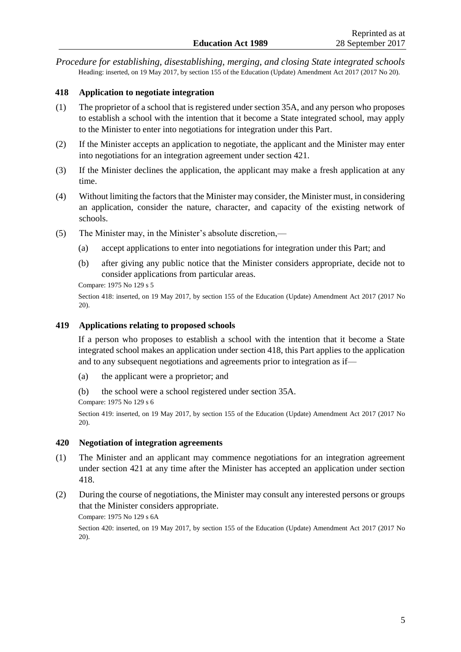*Procedure for establishing, disestablishing, merging, and closing State integrated schools* Heading: inserted, on 19 May 2017, b[y section 155](http://prd-lgnz-nlb.prd.pco.net.nz/pdflink.aspx?id=DLM6928926) of the Education (Update) Amendment Act 2017 (2017 No 20).

# **418 Application to negotiate integration**

- (1) The proprietor of a school that is registered under section 35A, and any person who proposes to establish a school with the intention that it become a State integrated school, may apply to the Minister to enter into negotiations for integration under this Part.
- (2) If the Minister accepts an application to negotiate, the applicant and the Minister may enter into negotiations for an integration agreement under section 421.
- (3) If the Minister declines the application, the applicant may make a fresh application at any time.
- (4) Without limiting the factors that the Minister may consider, the Minister must, in considering an application, consider the nature, character, and capacity of the existing network of schools.
- (5) The Minister may, in the Minister's absolute discretion,—
	- (a) accept applications to enter into negotiations for integration under this Part; and
	- (b) after giving any public notice that the Minister considers appropriate, decide not to consider applications from particular areas.
	- Compare: 1975 No 129 [s 5](http://prd-lgnz-nlb.prd.pco.net.nz/pdflink.aspx?id=DLM437385)

Section 418: inserted, on 19 May 2017, by [section 155 o](http://prd-lgnz-nlb.prd.pco.net.nz/pdflink.aspx?id=DLM6928926)f the Education (Update) Amendment Act 2017 (2017 No 20).

# **419 Applications relating to proposed schools**

If a person who proposes to establish a school with the intention that it become a State integrated school makes an application under section 418, this Part applies to the application and to any subsequent negotiations and agreements prior to integration as if—

- (a) the applicant were a proprietor; and
- (b) the school were a school registered under section 35A.

Compare: 1975 No 129 [s 6](http://prd-lgnz-nlb.prd.pco.net.nz/pdflink.aspx?id=DLM437387)

Section 419: inserted, on 19 May 2017, by [section 155 o](http://prd-lgnz-nlb.prd.pco.net.nz/pdflink.aspx?id=DLM6928926)f the Education (Update) Amendment Act 2017 (2017 No 20).

#### **420 Negotiation of integration agreements**

- (1) The Minister and an applicant may commence negotiations for an integration agreement under section 421 at any time after the Minister has accepted an application under section 418.
- (2) During the course of negotiations, the Minister may consult any interested persons or groups that the Minister considers appropriate.

Compare: 1975 No 129 [s 6A](http://prd-lgnz-nlb.prd.pco.net.nz/pdflink.aspx?id=DLM437389)

Section 420: inserted, on 19 May 2017, by [section 155 o](http://prd-lgnz-nlb.prd.pco.net.nz/pdflink.aspx?id=DLM6928926)f the Education (Update) Amendment Act 2017 (2017 No 20).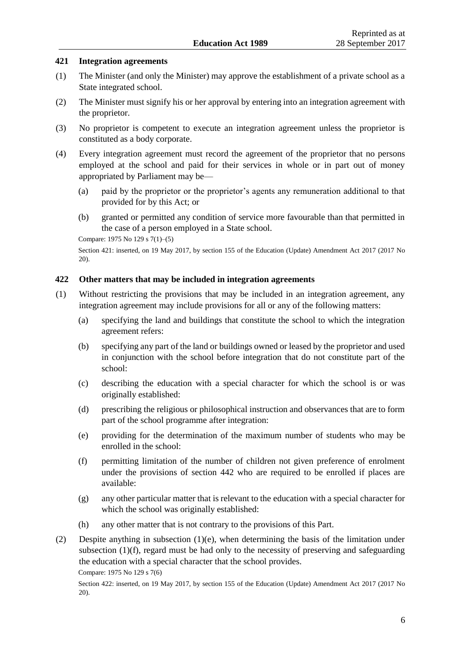### **421 Integration agreements**

- (1) The Minister (and only the Minister) may approve the establishment of a private school as a State integrated school.
- (2) The Minister must signify his or her approval by entering into an integration agreement with the proprietor.
- (3) No proprietor is competent to execute an integration agreement unless the proprietor is constituted as a body corporate.
- (4) Every integration agreement must record the agreement of the proprietor that no persons employed at the school and paid for their services in whole or in part out of money appropriated by Parliament may be—
	- (a) paid by the proprietor or the proprietor's agents any remuneration additional to that provided for by this Act; or
	- (b) granted or permitted any condition of service more favourable than that permitted in the case of a person employed in a State school.

Compare: 1975 No 129 [s 7\(1\)–\(5\)](http://prd-lgnz-nlb.prd.pco.net.nz/pdflink.aspx?id=DLM437391)

Section 421: inserted, on 19 May 2017, by [section 155 o](http://prd-lgnz-nlb.prd.pco.net.nz/pdflink.aspx?id=DLM6928926)f the Education (Update) Amendment Act 2017 (2017 No 20).

# **422 Other matters that may be included in integration agreements**

- (1) Without restricting the provisions that may be included in an integration agreement, any integration agreement may include provisions for all or any of the following matters:
	- (a) specifying the land and buildings that constitute the school to which the integration agreement refers:
	- (b) specifying any part of the land or buildings owned or leased by the proprietor and used in conjunction with the school before integration that do not constitute part of the school:
	- (c) describing the education with a special character for which the school is or was originally established:
	- (d) prescribing the religious or philosophical instruction and observances that are to form part of the school programme after integration:
	- (e) providing for the determination of the maximum number of students who may be enrolled in the school:
	- (f) permitting limitation of the number of children not given preference of enrolment under the provisions of section 442 who are required to be enrolled if places are available:
	- (g) any other particular matter that is relevant to the education with a special character for which the school was originally established:
	- (h) any other matter that is not contrary to the provisions of this Part.
- (2) Despite anything in subsection (1)(e), when determining the basis of the limitation under subsection (1)(f), regard must be had only to the necessity of preserving and safeguarding the education with a special character that the school provides.

Compare: 1975 No 129 [s 7\(6\)](http://prd-lgnz-nlb.prd.pco.net.nz/pdflink.aspx?id=DLM437391)

Section 422: inserted, on 19 May 2017, by [section 155 o](http://prd-lgnz-nlb.prd.pco.net.nz/pdflink.aspx?id=DLM6928926)f the Education (Update) Amendment Act 2017 (2017 No 20).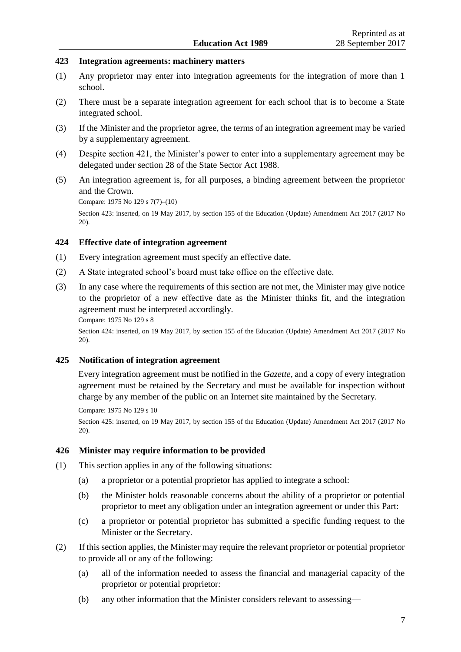#### **423 Integration agreements: machinery matters**

- (1) Any proprietor may enter into integration agreements for the integration of more than 1 school.
- (2) There must be a separate integration agreement for each school that is to become a State integrated school.
- (3) If the Minister and the proprietor agree, the terms of an integration agreement may be varied by a supplementary agreement.
- (4) Despite section 421, the Minister's power to enter into a supplementary agreement may be delegated under [section 28](http://prd-lgnz-nlb.prd.pco.net.nz/pdflink.aspx?id=DLM129507) of the State Sector Act 1988.
- (5) An integration agreement is, for all purposes, a binding agreement between the proprietor and the Crown.

Compare: 1975 No 129 [s 7\(7\)–\(10\)](http://prd-lgnz-nlb.prd.pco.net.nz/pdflink.aspx?id=DLM437391)

Section 423: inserted, on 19 May 2017, by [section 155 o](http://prd-lgnz-nlb.prd.pco.net.nz/pdflink.aspx?id=DLM6928926)f the Education (Update) Amendment Act 2017 (2017 No 20).

# **424 Effective date of integration agreement**

- (1) Every integration agreement must specify an effective date.
- (2) A State integrated school's board must take office on the effective date.
- (3) In any case where the requirements of this section are not met, the Minister may give notice to the proprietor of a new effective date as the Minister thinks fit, and the integration agreement must be interpreted accordingly. Compare: 1975 No 129 [s 8](http://prd-lgnz-nlb.prd.pco.net.nz/pdflink.aspx?id=DLM437502)

Section 424: inserted, on 19 May 2017, by [section 155 o](http://prd-lgnz-nlb.prd.pco.net.nz/pdflink.aspx?id=DLM6928926)f the Education (Update) Amendment Act 2017 (2017 No 20).

#### **425 Notification of integration agreement**

Every integration agreement must be notified in the *Gazette*, and a copy of every integration agreement must be retained by the Secretary and must be available for inspection without charge by any member of the public on an Internet site maintained by the Secretary.

Compare: 1975 No 129 [s 10](http://prd-lgnz-nlb.prd.pco.net.nz/pdflink.aspx?id=DLM437507) Section 425: inserted, on 19 May 2017, by [section 155 o](http://prd-lgnz-nlb.prd.pco.net.nz/pdflink.aspx?id=DLM6928926)f the Education (Update) Amendment Act 2017 (2017 No 20).

#### **426 Minister may require information to be provided**

- (1) This section applies in any of the following situations:
	- (a) a proprietor or a potential proprietor has applied to integrate a school:
	- (b) the Minister holds reasonable concerns about the ability of a proprietor or potential proprietor to meet any obligation under an integration agreement or under this Part:
	- (c) a proprietor or potential proprietor has submitted a specific funding request to the Minister or the Secretary.
- (2) If this section applies, the Minister may require the relevant proprietor or potential proprietor to provide all or any of the following:
	- (a) all of the information needed to assess the financial and managerial capacity of the proprietor or potential proprietor:
	- (b) any other information that the Minister considers relevant to assessing—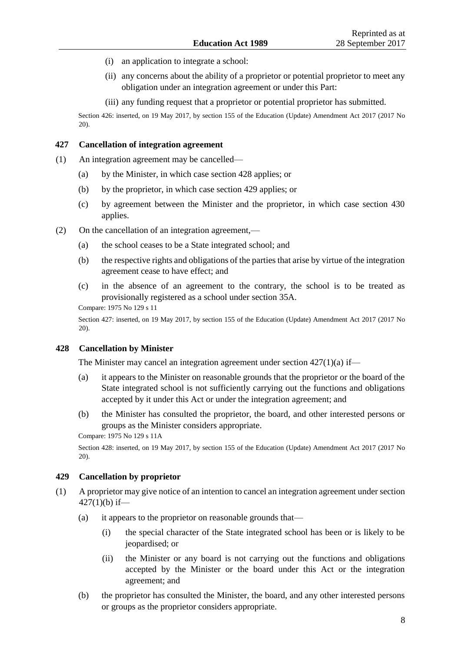- (i) an application to integrate a school:
- (ii) any concerns about the ability of a proprietor or potential proprietor to meet any obligation under an integration agreement or under this Part:
- (iii) any funding request that a proprietor or potential proprietor has submitted.

Section 426: inserted, on 19 May 2017, by [section 155 o](http://prd-lgnz-nlb.prd.pco.net.nz/pdflink.aspx?id=DLM6928926)f the Education (Update) Amendment Act 2017 (2017 No 20).

# **427 Cancellation of integration agreement**

- (1) An integration agreement may be cancelled—
	- (a) by the Minister, in which case section 428 applies; or
	- (b) by the proprietor, in which case section 429 applies; or
	- (c) by agreement between the Minister and the proprietor, in which case section 430 applies.
- (2) On the cancellation of an integration agreement,—
	- (a) the school ceases to be a State integrated school; and
	- (b) the respective rights and obligations of the parties that arise by virtue of the integration agreement cease to have effect; and
	- (c) in the absence of an agreement to the contrary, the school is to be treated as provisionally registered as a school under section 35A.

Compare: 1975 No 129 [s 11](http://prd-lgnz-nlb.prd.pco.net.nz/pdflink.aspx?id=DLM437509)

Section 427: inserted, on 19 May 2017, by [section 155 o](http://prd-lgnz-nlb.prd.pco.net.nz/pdflink.aspx?id=DLM6928926)f the Education (Update) Amendment Act 2017 (2017 No 20).

### **428 Cancellation by Minister**

The Minister may cancel an integration agreement under section 427(1)(a) if—

- (a) it appears to the Minister on reasonable grounds that the proprietor or the board of the State integrated school is not sufficiently carrying out the functions and obligations accepted by it under this Act or under the integration agreement; and
- (b) the Minister has consulted the proprietor, the board, and other interested persons or groups as the Minister considers appropriate.

```
Compare: 1975 No 129 s 11A
```
Section 428: inserted, on 19 May 2017, by [section 155 o](http://prd-lgnz-nlb.prd.pco.net.nz/pdflink.aspx?id=DLM6928926)f the Education (Update) Amendment Act 2017 (2017 No 20).

### **429 Cancellation by proprietor**

- (1) A proprietor may give notice of an intention to cancel an integration agreement under section  $427(1)(b)$  if—
	- (a) it appears to the proprietor on reasonable grounds that—
		- (i) the special character of the State integrated school has been or is likely to be jeopardised; or
		- (ii) the Minister or any board is not carrying out the functions and obligations accepted by the Minister or the board under this Act or the integration agreement; and
	- (b) the proprietor has consulted the Minister, the board, and any other interested persons or groups as the proprietor considers appropriate.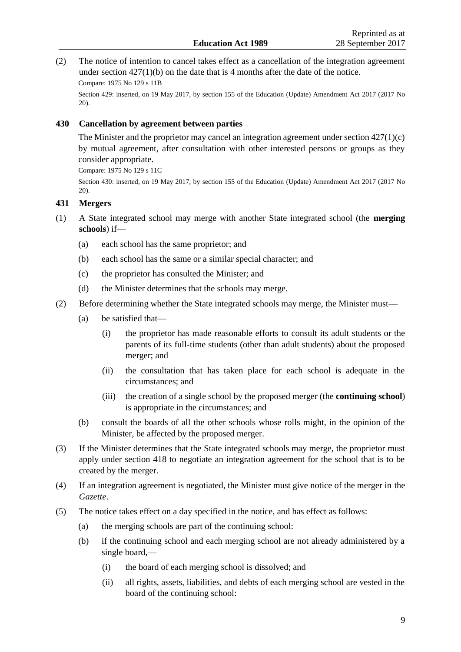(2) The notice of intention to cancel takes effect as a cancellation of the integration agreement under section  $427(1)(b)$  on the date that is 4 months after the date of the notice. Compare: 1975 No 129 [s 11B](http://prd-lgnz-nlb.prd.pco.net.nz/pdflink.aspx?id=DLM437513)

Section 429: inserted, on 19 May 2017, by [section 155 o](http://prd-lgnz-nlb.prd.pco.net.nz/pdflink.aspx?id=DLM6928926)f the Education (Update) Amendment Act 2017 (2017 No 20).

# **430 Cancellation by agreement between parties**

The Minister and the proprietor may cancel an integration agreement under section 427(1)(c) by mutual agreement, after consultation with other interested persons or groups as they consider appropriate.

Compare: 1975 No 129 [s 11C](http://prd-lgnz-nlb.prd.pco.net.nz/pdflink.aspx?id=DLM437515)

Section 430: inserted, on 19 May 2017, by [section 155 o](http://prd-lgnz-nlb.prd.pco.net.nz/pdflink.aspx?id=DLM6928926)f the Education (Update) Amendment Act 2017 (2017 No 20).

# **431 Mergers**

- (1) A State integrated school may merge with another State integrated school (the **merging schools**) if—
	- (a) each school has the same proprietor; and
	- (b) each school has the same or a similar special character; and
	- (c) the proprietor has consulted the Minister; and
	- (d) the Minister determines that the schools may merge.
- (2) Before determining whether the State integrated schools may merge, the Minister must—
	- (a) be satisfied that—
		- (i) the proprietor has made reasonable efforts to consult its adult students or the parents of its full-time students (other than adult students) about the proposed merger; and
		- (ii) the consultation that has taken place for each school is adequate in the circumstances; and
		- (iii) the creation of a single school by the proposed merger (the **continuing school**) is appropriate in the circumstances; and
	- (b) consult the boards of all the other schools whose rolls might, in the opinion of the Minister, be affected by the proposed merger.
- (3) If the Minister determines that the State integrated schools may merge, the proprietor must apply under section 418 to negotiate an integration agreement for the school that is to be created by the merger.
- (4) If an integration agreement is negotiated, the Minister must give notice of the merger in the *Gazette*.
- (5) The notice takes effect on a day specified in the notice, and has effect as follows:
	- (a) the merging schools are part of the continuing school:
	- (b) if the continuing school and each merging school are not already administered by a single board,—
		- (i) the board of each merging school is dissolved; and
		- (ii) all rights, assets, liabilities, and debts of each merging school are vested in the board of the continuing school: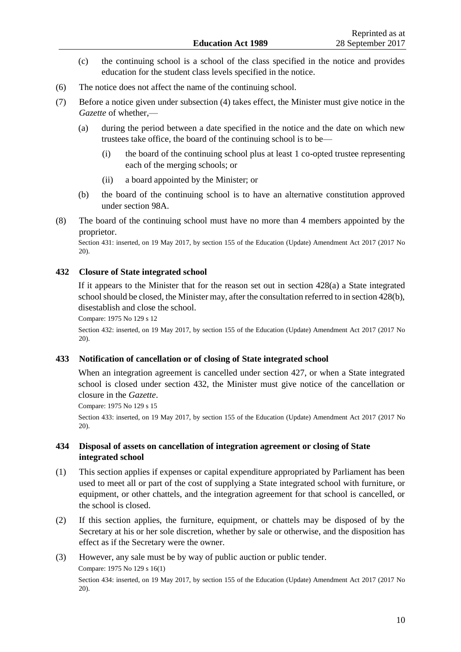- (c) the continuing school is a school of the class specified in the notice and provides education for the student class levels specified in the notice.
- (6) The notice does not affect the name of the continuing school.
- (7) Before a notice given under subsection (4) takes effect, the Minister must give notice in the *Gazette* of whether,—
	- (a) during the period between a date specified in the notice and the date on which new trustees take office, the board of the continuing school is to be—
		- (i) the board of the continuing school plus at least 1 co-opted trustee representing each of the merging schools; or
		- (ii) a board appointed by the Minister; or
	- (b) the board of the continuing school is to have an alternative constitution approved under section 98A.
- (8) The board of the continuing school must have no more than 4 members appointed by the proprietor.

Section 431: inserted, on 19 May 2017, by [section 155 o](http://prd-lgnz-nlb.prd.pco.net.nz/pdflink.aspx?id=DLM6928926)f the Education (Update) Amendment Act 2017 (2017 No 20).

# **432 Closure of State integrated school**

If it appears to the Minister that for the reason set out in section  $428(a)$  a State integrated school should be closed, the Minister may, after the consultation referred to in section 428(b), disestablish and close the school.

Compare: 1975 No 129 [s 12](http://prd-lgnz-nlb.prd.pco.net.nz/pdflink.aspx?id=DLM437517)

Section 432: inserted, on 19 May 2017, by [section 155 o](http://prd-lgnz-nlb.prd.pco.net.nz/pdflink.aspx?id=DLM6928926)f the Education (Update) Amendment Act 2017 (2017 No 20).

# **433 Notification of cancellation or of closing of State integrated school**

When an integration agreement is cancelled under section 427, or when a State integrated school is closed under section 432, the Minister must give notice of the cancellation or closure in the *Gazette*.

Compare: 1975 No 129 [s 15](http://prd-lgnz-nlb.prd.pco.net.nz/pdflink.aspx?id=DLM437524)

Section 433: inserted, on 19 May 2017, by [section 155 o](http://prd-lgnz-nlb.prd.pco.net.nz/pdflink.aspx?id=DLM6928926)f the Education (Update) Amendment Act 2017 (2017 No 20).

# **434 Disposal of assets on cancellation of integration agreement or closing of State integrated school**

- (1) This section applies if expenses or capital expenditure appropriated by Parliament has been used to meet all or part of the cost of supplying a State integrated school with furniture, or equipment, or other chattels, and the integration agreement for that school is cancelled, or the school is closed.
- (2) If this section applies, the furniture, equipment, or chattels may be disposed of by the Secretary at his or her sole discretion, whether by sale or otherwise, and the disposition has effect as if the Secretary were the owner.
- (3) However, any sale must be by way of public auction or public tender.

Compare: 1975 No 129 [s 16\(1\)](http://prd-lgnz-nlb.prd.pco.net.nz/pdflink.aspx?id=DLM437526)

Section 434: inserted, on 19 May 2017, by [section 155 o](http://prd-lgnz-nlb.prd.pco.net.nz/pdflink.aspx?id=DLM6928926)f the Education (Update) Amendment Act 2017 (2017 No 20).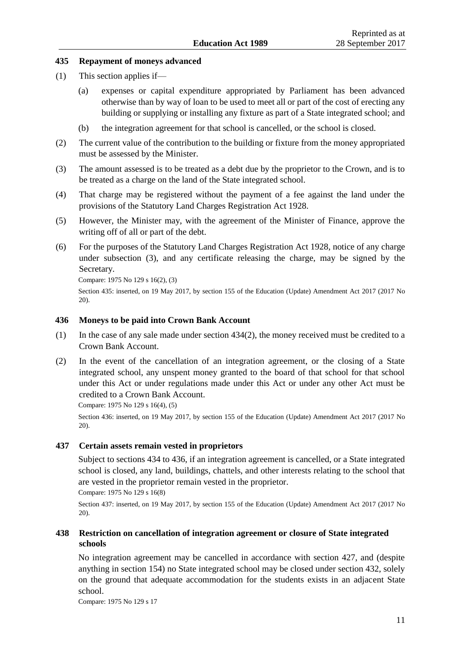# **435 Repayment of moneys advanced**

- (1) This section applies if—
	- (a) expenses or capital expenditure appropriated by Parliament has been advanced otherwise than by way of loan to be used to meet all or part of the cost of erecting any building or supplying or installing any fixture as part of a State integrated school; and
	- (b) the integration agreement for that school is cancelled, or the school is closed.
- (2) The current value of the contribution to the building or fixture from the money appropriated must be assessed by the Minister.
- (3) The amount assessed is to be treated as a debt due by the proprietor to the Crown, and is to be treated as a charge on the land of the State integrated school.
- (4) That charge may be registered without the payment of a fee against the land under the provisions of the [Statutory Land Charges Registration Act 1928.](http://prd-lgnz-nlb.prd.pco.net.nz/pdflink.aspx?id=DLM204851)
- (5) However, the Minister may, with the agreement of the Minister of Finance, approve the writing off of all or part of the debt.
- (6) For the purposes of the [Statutory Land Charges Registration Act 1928,](http://prd-lgnz-nlb.prd.pco.net.nz/pdflink.aspx?id=DLM204851) notice of any charge under subsection (3), and any certificate releasing the charge, may be signed by the Secretary.

Compare: 1975 No 129 [s 16\(2\), \(3\)](http://prd-lgnz-nlb.prd.pco.net.nz/pdflink.aspx?id=DLM437526)

Section 435: inserted, on 19 May 2017, by [section 155 o](http://prd-lgnz-nlb.prd.pco.net.nz/pdflink.aspx?id=DLM6928926)f the Education (Update) Amendment Act 2017 (2017 No 20).

#### **436 Moneys to be paid into Crown Bank Account**

- (1) In the case of any sale made under section 434(2), the money received must be credited to a Crown Bank Account.
- (2) In the event of the cancellation of an integration agreement, or the closing of a State integrated school, any unspent money granted to the board of that school for that school under this Act or under regulations made under this Act or under any other Act must be credited to a Crown Bank Account.

Compare: 1975 No 129 [s 16\(4\), \(5\)](http://prd-lgnz-nlb.prd.pco.net.nz/pdflink.aspx?id=DLM437526)

Section 436: inserted, on 19 May 2017, by [section 155 o](http://prd-lgnz-nlb.prd.pco.net.nz/pdflink.aspx?id=DLM6928926)f the Education (Update) Amendment Act 2017 (2017 No 20).

#### **437 Certain assets remain vested in proprietors**

Subject to sections 434 to 436, if an integration agreement is cancelled, or a State integrated school is closed, any land, buildings, chattels, and other interests relating to the school that are vested in the proprietor remain vested in the proprietor.

Compare: 1975 No 129 [s 16\(8\)](http://prd-lgnz-nlb.prd.pco.net.nz/pdflink.aspx?id=DLM437526)

Section 437: inserted, on 19 May 2017, by [section 155 o](http://prd-lgnz-nlb.prd.pco.net.nz/pdflink.aspx?id=DLM6928926)f the Education (Update) Amendment Act 2017 (2017 No 20).

# **438 Restriction on cancellation of integration agreement or closure of State integrated schools**

No integration agreement may be cancelled in accordance with section 427, and (despite anything in section 154) no State integrated school may be closed under section 432, solely on the ground that adequate accommodation for the students exists in an adjacent State school.

Compare: 1975 No 129 [s 17](http://prd-lgnz-nlb.prd.pco.net.nz/pdflink.aspx?id=DLM437531)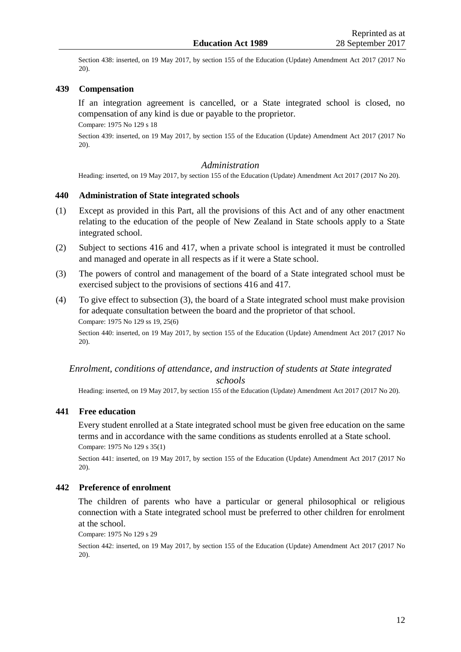Section 438: inserted, on 19 May 2017, by [section 155 o](http://prd-lgnz-nlb.prd.pco.net.nz/pdflink.aspx?id=DLM6928926)f the Education (Update) Amendment Act 2017 (2017 No 20).

# **439 Compensation**

If an integration agreement is cancelled, or a State integrated school is closed, no compensation of any kind is due or payable to the proprietor.

Compare: 1975 No 129 [s 18](http://prd-lgnz-nlb.prd.pco.net.nz/pdflink.aspx?id=DLM437534)

Section 439: inserted, on 19 May 2017, by [section 155 o](http://prd-lgnz-nlb.prd.pco.net.nz/pdflink.aspx?id=DLM6928926)f the Education (Update) Amendment Act 2017 (2017 No 20).

#### *Administration*

Heading: inserted, on 19 May 2017, b[y section 155](http://prd-lgnz-nlb.prd.pco.net.nz/pdflink.aspx?id=DLM6928926) of the Education (Update) Amendment Act 2017 (2017 No 20).

#### **440 Administration of State integrated schools**

- (1) Except as provided in this Part, all the provisions of this Act and of any other enactment relating to the education of the people of New Zealand in State schools apply to a State integrated school.
- (2) Subject to sections 416 and 417, when a private school is integrated it must be controlled and managed and operate in all respects as if it were a State school.
- (3) The powers of control and management of the board of a State integrated school must be exercised subject to the provisions of sections 416 and 417.
- (4) To give effect to subsection (3), the board of a State integrated school must make provision for adequate consultation between the board and the proprietor of that school. Compare: 1975 No 129 [ss 19,](http://prd-lgnz-nlb.prd.pco.net.nz/pdflink.aspx?id=DLM437537) [25\(6\)](http://prd-lgnz-nlb.prd.pco.net.nz/pdflink.aspx?id=DLM437561)

Section 440: inserted, on 19 May 2017, by [section 155 o](http://prd-lgnz-nlb.prd.pco.net.nz/pdflink.aspx?id=DLM6928926)f the Education (Update) Amendment Act 2017 (2017 No 20).

# *Enrolment, conditions of attendance, and instruction of students at State integrated schools*

Heading: inserted, on 19 May 2017, b[y section 155](http://prd-lgnz-nlb.prd.pco.net.nz/pdflink.aspx?id=DLM6928926) of the Education (Update) Amendment Act 2017 (2017 No 20).

### **441 Free education**

Every student enrolled at a State integrated school must be given free education on the same terms and in accordance with the same conditions as students enrolled at a State school. Compare: 1975 No 129 [s 35\(1\)](http://prd-lgnz-nlb.prd.pco.net.nz/pdflink.aspx?id=DLM437583)

Section 441: inserted, on 19 May 2017, by [section 155 o](http://prd-lgnz-nlb.prd.pco.net.nz/pdflink.aspx?id=DLM6928926)f the Education (Update) Amendment Act 2017 (2017 No 20).

## **442 Preference of enrolment**

The children of parents who have a particular or general philosophical or religious connection with a State integrated school must be preferred to other children for enrolment at the school.

Compare: 1975 No 129 [s 29](http://prd-lgnz-nlb.prd.pco.net.nz/pdflink.aspx?id=DLM437573)

Section 442: inserted, on 19 May 2017, by [section 155 o](http://prd-lgnz-nlb.prd.pco.net.nz/pdflink.aspx?id=DLM6928926)f the Education (Update) Amendment Act 2017 (2017 No 20).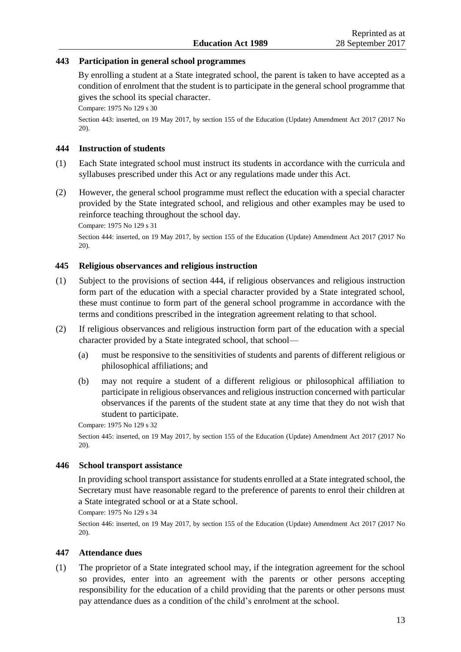# **443 Participation in general school programmes**

By enrolling a student at a State integrated school, the parent is taken to have accepted as a condition of enrolment that the student is to participate in the general school programme that gives the school its special character.

Compare: 1975 No 129 [s 30](http://prd-lgnz-nlb.prd.pco.net.nz/pdflink.aspx?id=DLM437575)

Section 443: inserted, on 19 May 2017, by [section 155 o](http://prd-lgnz-nlb.prd.pco.net.nz/pdflink.aspx?id=DLM6928926)f the Education (Update) Amendment Act 2017 (2017 No 20).

# **444 Instruction of students**

- (1) Each State integrated school must instruct its students in accordance with the curricula and syllabuses prescribed under this Act or any regulations made under this Act.
- (2) However, the general school programme must reflect the education with a special character provided by the State integrated school, and religious and other examples may be used to reinforce teaching throughout the school day.

Compare: 1975 No 129 [s 31](http://prd-lgnz-nlb.prd.pco.net.nz/pdflink.aspx?id=DLM437576)

Section 444: inserted, on 19 May 2017, by [section 155 o](http://prd-lgnz-nlb.prd.pco.net.nz/pdflink.aspx?id=DLM6928926)f the Education (Update) Amendment Act 2017 (2017 No 20).

# **445 Religious observances and religious instruction**

- (1) Subject to the provisions of section 444, if religious observances and religious instruction form part of the education with a special character provided by a State integrated school, these must continue to form part of the general school programme in accordance with the terms and conditions prescribed in the integration agreement relating to that school.
- (2) If religious observances and religious instruction form part of the education with a special character provided by a State integrated school, that school—
	- (a) must be responsive to the sensitivities of students and parents of different religious or philosophical affiliations; and
	- (b) may not require a student of a different religious or philosophical affiliation to participate in religious observances and religious instruction concerned with particular observances if the parents of the student state at any time that they do not wish that student to participate.

Compare: 1975 No 129 [s 32](http://prd-lgnz-nlb.prd.pco.net.nz/pdflink.aspx?id=DLM437577)

Section 445: inserted, on 19 May 2017, by [section 155 o](http://prd-lgnz-nlb.prd.pco.net.nz/pdflink.aspx?id=DLM6928926)f the Education (Update) Amendment Act 2017 (2017 No 20).

#### **446 School transport assistance**

In providing school transport assistance for students enrolled at a State integrated school, the Secretary must have reasonable regard to the preference of parents to enrol their children at a State integrated school or at a State school.

Compare: 1975 No 129 [s 34](http://prd-lgnz-nlb.prd.pco.net.nz/pdflink.aspx?id=DLM437581)

Section 446: inserted, on 19 May 2017, by [section 155 o](http://prd-lgnz-nlb.prd.pco.net.nz/pdflink.aspx?id=DLM6928926)f the Education (Update) Amendment Act 2017 (2017 No 20).

#### **447 Attendance dues**

(1) The proprietor of a State integrated school may, if the integration agreement for the school so provides, enter into an agreement with the parents or other persons accepting responsibility for the education of a child providing that the parents or other persons must pay attendance dues as a condition of the child's enrolment at the school.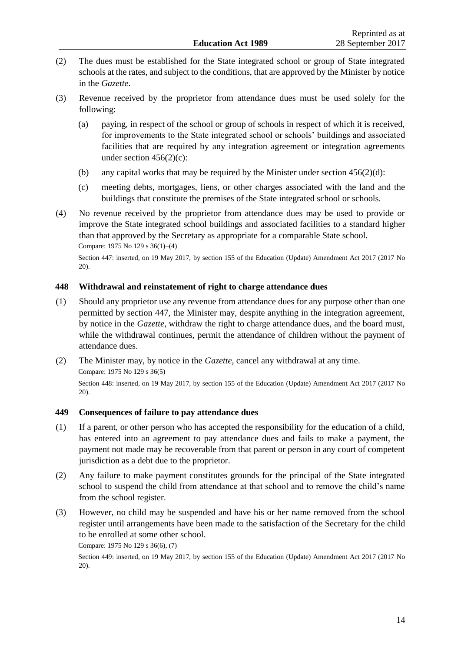- (2) The dues must be established for the State integrated school or group of State integrated schools at the rates, and subject to the conditions, that are approved by the Minister by notice in the *Gazette*.
- (3) Revenue received by the proprietor from attendance dues must be used solely for the following:
	- (a) paying, in respect of the school or group of schools in respect of which it is received, for improvements to the State integrated school or schools' buildings and associated facilities that are required by any integration agreement or integration agreements under section 456(2)(c):
	- (b) any capital works that may be required by the Minister under section  $456(2)(d)$ :
	- (c) meeting debts, mortgages, liens, or other charges associated with the land and the buildings that constitute the premises of the State integrated school or schools.
- (4) No revenue received by the proprietor from attendance dues may be used to provide or improve the State integrated school buildings and associated facilities to a standard higher than that approved by the Secretary as appropriate for a comparable State school. Compare: 1975 No 129 [s 36\(1\)–\(4\)](http://prd-lgnz-nlb.prd.pco.net.nz/pdflink.aspx?id=DLM437585)

Section 447: inserted, on 19 May 2017, by [section 155 o](http://prd-lgnz-nlb.prd.pco.net.nz/pdflink.aspx?id=DLM6928926)f the Education (Update) Amendment Act 2017 (2017 No 20).

# **448 Withdrawal and reinstatement of right to charge attendance dues**

- (1) Should any proprietor use any revenue from attendance dues for any purpose other than one permitted by section 447, the Minister may, despite anything in the integration agreement, by notice in the *Gazette*, withdraw the right to charge attendance dues, and the board must, while the withdrawal continues, permit the attendance of children without the payment of attendance dues.
- (2) The Minister may, by notice in the *Gazette*, cancel any withdrawal at any time. Compare: 1975 No 129 [s 36\(5\)](http://prd-lgnz-nlb.prd.pco.net.nz/pdflink.aspx?id=DLM437585) Section 448: inserted, on 19 May 2017, by [section 155 o](http://prd-lgnz-nlb.prd.pco.net.nz/pdflink.aspx?id=DLM6928926)f the Education (Update) Amendment Act 2017 (2017 No 20).

# **449 Consequences of failure to pay attendance dues**

- (1) If a parent, or other person who has accepted the responsibility for the education of a child, has entered into an agreement to pay attendance dues and fails to make a payment, the payment not made may be recoverable from that parent or person in any court of competent jurisdiction as a debt due to the proprietor.
- (2) Any failure to make payment constitutes grounds for the principal of the State integrated school to suspend the child from attendance at that school and to remove the child's name from the school register.
- (3) However, no child may be suspended and have his or her name removed from the school register until arrangements have been made to the satisfaction of the Secretary for the child to be enrolled at some other school.

Compare: 1975 No 129 [s 36\(6\), \(7\)](http://prd-lgnz-nlb.prd.pco.net.nz/pdflink.aspx?id=DLM437585)

Section 449: inserted, on 19 May 2017, by [section 155 o](http://prd-lgnz-nlb.prd.pco.net.nz/pdflink.aspx?id=DLM6928926)f the Education (Update) Amendment Act 2017 (2017 No 20).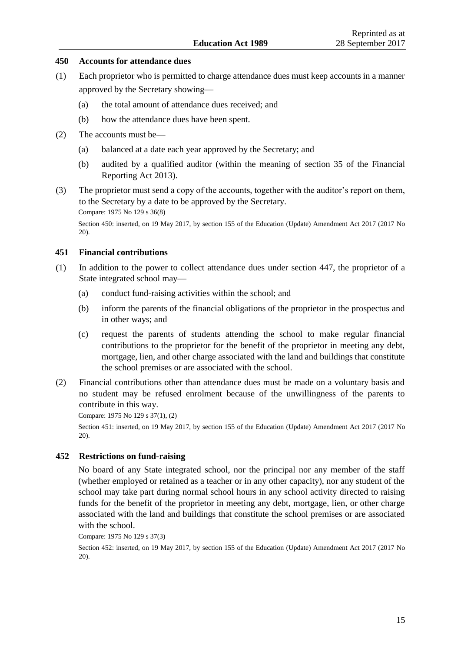#### **450 Accounts for attendance dues**

- (1) Each proprietor who is permitted to charge attendance dues must keep accounts in a manner approved by the Secretary showing—
	- (a) the total amount of attendance dues received; and
	- (b) how the attendance dues have been spent.
- (2) The accounts must be—
	- (a) balanced at a date each year approved by the Secretary; and
	- (b) audited by a qualified auditor (within the meaning of [section 35](http://prd-lgnz-nlb.prd.pco.net.nz/pdflink.aspx?id=DLM4632944) of the Financial Reporting Act 2013).
- (3) The proprietor must send a copy of the accounts, together with the auditor's report on them, to the Secretary by a date to be approved by the Secretary. Compare: 1975 No 129 [s 36\(8\)](http://prd-lgnz-nlb.prd.pco.net.nz/pdflink.aspx?id=DLM437585)

Section 450: inserted, on 19 May 2017, by [section 155 o](http://prd-lgnz-nlb.prd.pco.net.nz/pdflink.aspx?id=DLM6928926)f the Education (Update) Amendment Act 2017 (2017 No 20).

### **451 Financial contributions**

- (1) In addition to the power to collect attendance dues under section 447, the proprietor of a State integrated school may—
	- (a) conduct fund-raising activities within the school; and
	- (b) inform the parents of the financial obligations of the proprietor in the prospectus and in other ways; and
	- (c) request the parents of students attending the school to make regular financial contributions to the proprietor for the benefit of the proprietor in meeting any debt, mortgage, lien, and other charge associated with the land and buildings that constitute the school premises or are associated with the school.
- (2) Financial contributions other than attendance dues must be made on a voluntary basis and no student may be refused enrolment because of the unwillingness of the parents to contribute in this way.

Compare: 1975 No 129 [s 37\(1\), \(2\)](http://prd-lgnz-nlb.prd.pco.net.nz/pdflink.aspx?id=DLM437587)

Section 451: inserted, on 19 May 2017, by [section 155 o](http://prd-lgnz-nlb.prd.pco.net.nz/pdflink.aspx?id=DLM6928926)f the Education (Update) Amendment Act 2017 (2017 No 20).

#### **452 Restrictions on fund-raising**

No board of any State integrated school, nor the principal nor any member of the staff (whether employed or retained as a teacher or in any other capacity), nor any student of the school may take part during normal school hours in any school activity directed to raising funds for the benefit of the proprietor in meeting any debt, mortgage, lien, or other charge associated with the land and buildings that constitute the school premises or are associated with the school.

Compare: 1975 No 129 [s 37\(3\)](http://prd-lgnz-nlb.prd.pco.net.nz/pdflink.aspx?id=DLM437587)

Section 452: inserted, on 19 May 2017, by [section 155 o](http://prd-lgnz-nlb.prd.pco.net.nz/pdflink.aspx?id=DLM6928926)f the Education (Update) Amendment Act 2017 (2017 No 20).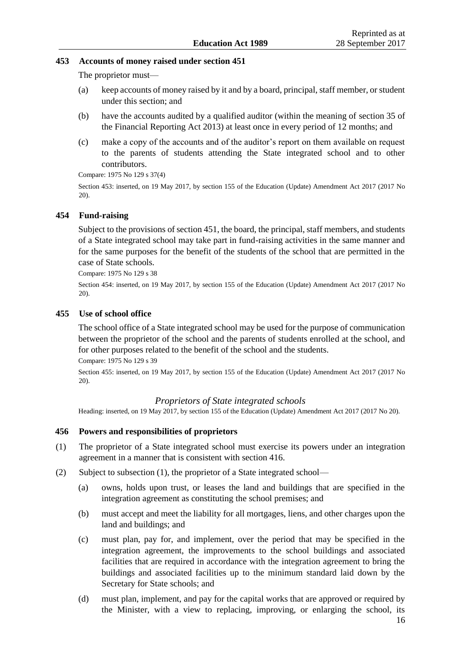# **453 Accounts of money raised under section 451**

The proprietor must—

- (a) keep accounts of money raised by it and by a board, principal, staff member, or student under this section; and
- (b) have the accounts audited by a qualified auditor (within the meaning of [section 35](http://prd-lgnz-nlb.prd.pco.net.nz/pdflink.aspx?id=DLM4632944) of the Financial Reporting Act 2013) at least once in every period of 12 months; and
- (c) make a copy of the accounts and of the auditor's report on them available on request to the parents of students attending the State integrated school and to other contributors.

Compare: 1975 No 129 [s 37\(4\)](http://prd-lgnz-nlb.prd.pco.net.nz/pdflink.aspx?id=DLM437587)

Section 453: inserted, on 19 May 2017, by [section 155 o](http://prd-lgnz-nlb.prd.pco.net.nz/pdflink.aspx?id=DLM6928926)f the Education (Update) Amendment Act 2017 (2017 No 20).

# **454 Fund-raising**

Subject to the provisions of section 451, the board, the principal, staff members, and students of a State integrated school may take part in fund-raising activities in the same manner and for the same purposes for the benefit of the students of the school that are permitted in the case of State schools.

Compare: 1975 No 129 [s 38](http://prd-lgnz-nlb.prd.pco.net.nz/pdflink.aspx?id=DLM437588)

Section 454: inserted, on 19 May 2017, by [section 155 o](http://prd-lgnz-nlb.prd.pco.net.nz/pdflink.aspx?id=DLM6928926)f the Education (Update) Amendment Act 2017 (2017 No 20).

# **455 Use of school office**

The school office of a State integrated school may be used for the purpose of communication between the proprietor of the school and the parents of students enrolled at the school, and for other purposes related to the benefit of the school and the students.

Compare: 1975 No 129 [s 39](http://prd-lgnz-nlb.prd.pco.net.nz/pdflink.aspx?id=DLM437589)

Section 455: inserted, on 19 May 2017, by [section 155 o](http://prd-lgnz-nlb.prd.pco.net.nz/pdflink.aspx?id=DLM6928926)f the Education (Update) Amendment Act 2017 (2017 No 20).

# *Proprietors of State integrated schools*

Heading: inserted, on 19 May 2017, b[y section 155 o](http://prd-lgnz-nlb.prd.pco.net.nz/pdflink.aspx?id=DLM6928926)f the Education (Update) Amendment Act 2017 (2017 No 20).

# **456 Powers and responsibilities of proprietors**

- (1) The proprietor of a State integrated school must exercise its powers under an integration agreement in a manner that is consistent with section 416.
- (2) Subject to subsection (1), the proprietor of a State integrated school—
	- (a) owns, holds upon trust, or leases the land and buildings that are specified in the integration agreement as constituting the school premises; and
	- (b) must accept and meet the liability for all mortgages, liens, and other charges upon the land and buildings; and
	- (c) must plan, pay for, and implement, over the period that may be specified in the integration agreement, the improvements to the school buildings and associated facilities that are required in accordance with the integration agreement to bring the buildings and associated facilities up to the minimum standard laid down by the Secretary for State schools; and
	- (d) must plan, implement, and pay for the capital works that are approved or required by the Minister, with a view to replacing, improving, or enlarging the school, its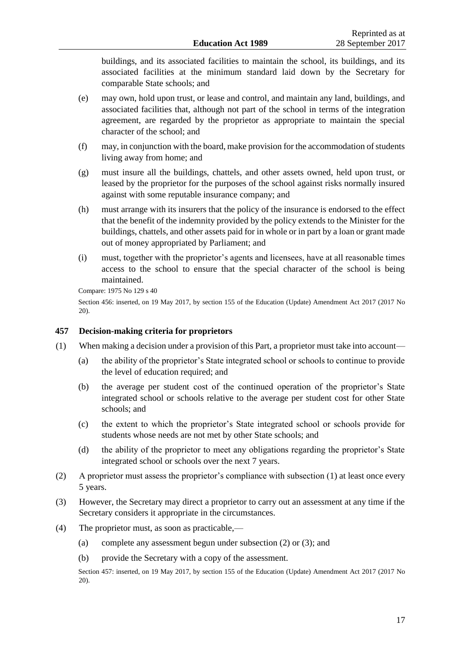buildings, and its associated facilities to maintain the school, its buildings, and its associated facilities at the minimum standard laid down by the Secretary for comparable State schools; and

- (e) may own, hold upon trust, or lease and control, and maintain any land, buildings, and associated facilities that, although not part of the school in terms of the integration agreement, are regarded by the proprietor as appropriate to maintain the special character of the school; and
- (f) may, in conjunction with the board, make provision for the accommodation of students living away from home; and
- (g) must insure all the buildings, chattels, and other assets owned, held upon trust, or leased by the proprietor for the purposes of the school against risks normally insured against with some reputable insurance company; and
- (h) must arrange with its insurers that the policy of the insurance is endorsed to the effect that the benefit of the indemnity provided by the policy extends to the Minister for the buildings, chattels, and other assets paid for in whole or in part by a loan or grant made out of money appropriated by Parliament; and
- (i) must, together with the proprietor's agents and licensees, have at all reasonable times access to the school to ensure that the special character of the school is being maintained.

Compare: 1975 No 129 [s 40](http://prd-lgnz-nlb.prd.pco.net.nz/pdflink.aspx?id=DLM437591)

Section 456: inserted, on 19 May 2017, by [section 155 o](http://prd-lgnz-nlb.prd.pco.net.nz/pdflink.aspx?id=DLM6928926)f the Education (Update) Amendment Act 2017 (2017 No 20).

# **457 Decision-making criteria for proprietors**

- (1) When making a decision under a provision of this Part, a proprietor must take into account—
	- (a) the ability of the proprietor's State integrated school or schools to continue to provide the level of education required; and
	- (b) the average per student cost of the continued operation of the proprietor's State integrated school or schools relative to the average per student cost for other State schools; and
	- (c) the extent to which the proprietor's State integrated school or schools provide for students whose needs are not met by other State schools; and
	- (d) the ability of the proprietor to meet any obligations regarding the proprietor's State integrated school or schools over the next 7 years.
- (2) A proprietor must assess the proprietor's compliance with subsection (1) at least once every 5 years.
- (3) However, the Secretary may direct a proprietor to carry out an assessment at any time if the Secretary considers it appropriate in the circumstances.
- (4) The proprietor must, as soon as practicable,—
	- (a) complete any assessment begun under subsection (2) or (3); and
	- (b) provide the Secretary with a copy of the assessment.

Section 457: inserted, on 19 May 2017, by [section 155 o](http://prd-lgnz-nlb.prd.pco.net.nz/pdflink.aspx?id=DLM6928926)f the Education (Update) Amendment Act 2017 (2017 No 20).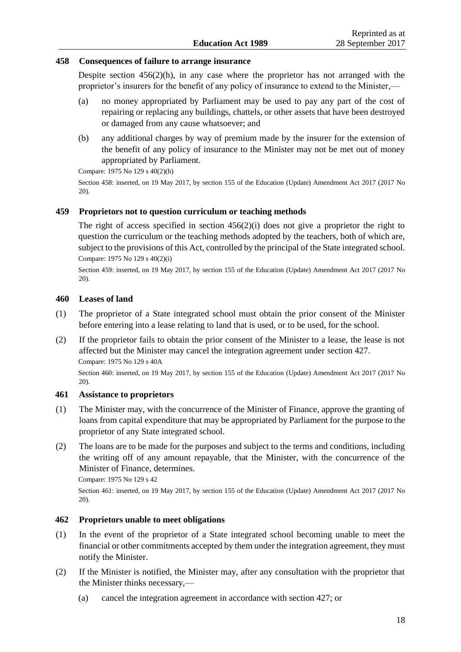## **458 Consequences of failure to arrange insurance**

Despite section  $456(2)(h)$ , in any case where the proprietor has not arranged with the proprietor's insurers for the benefit of any policy of insurance to extend to the Minister,—

- (a) no money appropriated by Parliament may be used to pay any part of the cost of repairing or replacing any buildings, chattels, or other assets that have been destroyed or damaged from any cause whatsoever; and
- (b) any additional charges by way of premium made by the insurer for the extension of the benefit of any policy of insurance to the Minister may not be met out of money appropriated by Parliament.

Compare: 1975 No 129 [s 40\(2\)\(h\)](http://prd-lgnz-nlb.prd.pco.net.nz/pdflink.aspx?id=DLM437591)

Section 458: inserted, on 19 May 2017, by [section 155 o](http://prd-lgnz-nlb.prd.pco.net.nz/pdflink.aspx?id=DLM6928926)f the Education (Update) Amendment Act 2017 (2017 No 20).

# **459 Proprietors not to question curriculum or teaching methods**

The right of access specified in section 456(2)(i) does not give a proprietor the right to question the curriculum or the teaching methods adopted by the teachers, both of which are, subject to the provisions of this Act, controlled by the principal of the State integrated school. Compare: 1975 No 129 [s 40\(2\)\(i\)](http://prd-lgnz-nlb.prd.pco.net.nz/pdflink.aspx?id=DLM437591)

Section 459: inserted, on 19 May 2017, by [section 155 o](http://prd-lgnz-nlb.prd.pco.net.nz/pdflink.aspx?id=DLM6928926)f the Education (Update) Amendment Act 2017 (2017 No 20).

# **460 Leases of land**

- (1) The proprietor of a State integrated school must obtain the prior consent of the Minister before entering into a lease relating to land that is used, or to be used, for the school.
- (2) If the proprietor fails to obtain the prior consent of the Minister to a lease, the lease is not affected but the Minister may cancel the integration agreement under section 427. Compare: 1975 No 129 [s 40A](http://prd-lgnz-nlb.prd.pco.net.nz/pdflink.aspx?id=DLM437597)

Section 460: inserted, on 19 May 2017, by [section 155 o](http://prd-lgnz-nlb.prd.pco.net.nz/pdflink.aspx?id=DLM6928926)f the Education (Update) Amendment Act 2017 (2017 No 20).

### **461 Assistance to proprietors**

- (1) The Minister may, with the concurrence of the Minister of Finance, approve the granting of loans from capital expenditure that may be appropriated by Parliament for the purpose to the proprietor of any State integrated school.
- (2) The loans are to be made for the purposes and subject to the terms and conditions, including the writing off of any amount repayable, that the Minister, with the concurrence of the Minister of Finance, determines.

Compare: 1975 No 129 [s 42](http://prd-lgnz-nlb.prd.pco.net.nz/pdflink.aspx?id=DLM437601)

Section 461: inserted, on 19 May 2017, by [section 155 o](http://prd-lgnz-nlb.prd.pco.net.nz/pdflink.aspx?id=DLM6928926)f the Education (Update) Amendment Act 2017 (2017 No 20).

#### **462 Proprietors unable to meet obligations**

- (1) In the event of the proprietor of a State integrated school becoming unable to meet the financial or other commitments accepted by them under the integration agreement, they must notify the Minister.
- (2) If the Minister is notified, the Minister may, after any consultation with the proprietor that the Minister thinks necessary,—
	- (a) cancel the integration agreement in accordance with section 427; or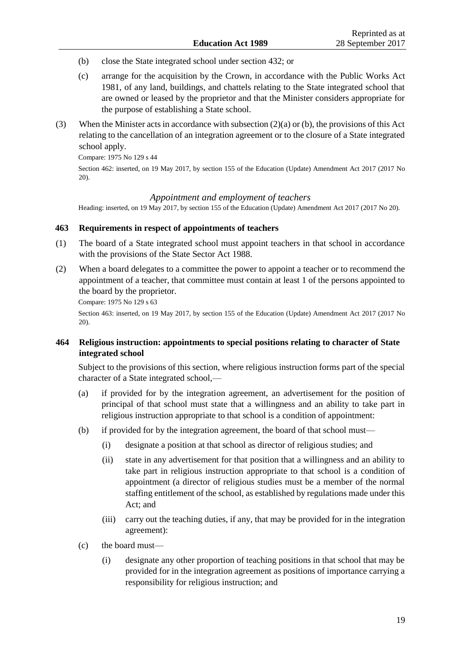- (b) close the State integrated school under section 432; or
- (c) arrange for the acquisition by the Crown, in accordance with the [Public Works Act](http://prd-lgnz-nlb.prd.pco.net.nz/pdflink.aspx?id=DLM45426)  [1981,](http://prd-lgnz-nlb.prd.pco.net.nz/pdflink.aspx?id=DLM45426) of any land, buildings, and chattels relating to the State integrated school that are owned or leased by the proprietor and that the Minister considers appropriate for the purpose of establishing a State school.
- (3) When the Minister acts in accordance with subsection (2)(a) or (b), the provisions of this Act relating to the cancellation of an integration agreement or to the closure of a State integrated school apply.

Compare: 1975 No 129 [s 44](http://prd-lgnz-nlb.prd.pco.net.nz/pdflink.aspx?id=DLM437604)

Section 462: inserted, on 19 May 2017, by [section 155 o](http://prd-lgnz-nlb.prd.pco.net.nz/pdflink.aspx?id=DLM6928926)f the Education (Update) Amendment Act 2017 (2017 No 20).

#### *Appointment and employment of teachers*

Heading: inserted, on 19 May 2017, b[y section 155 o](http://prd-lgnz-nlb.prd.pco.net.nz/pdflink.aspx?id=DLM6928926)f the Education (Update) Amendment Act 2017 (2017 No 20).

# **463 Requirements in respect of appointments of teachers**

- (1) The board of a State integrated school must appoint teachers in that school in accordance with the provisions of the [State Sector Act 1988.](http://prd-lgnz-nlb.prd.pco.net.nz/pdflink.aspx?id=DLM129109)
- (2) When a board delegates to a committee the power to appoint a teacher or to recommend the appointment of a teacher, that committee must contain at least 1 of the persons appointed to the board by the proprietor.

Compare: 1975 No 129 [s 63](http://prd-lgnz-nlb.prd.pco.net.nz/pdflink.aspx?id=DLM437653)

Section 463: inserted, on 19 May 2017, by [section 155 o](http://prd-lgnz-nlb.prd.pco.net.nz/pdflink.aspx?id=DLM6928926)f the Education (Update) Amendment Act 2017 (2017 No 20).

# **464 Religious instruction: appointments to special positions relating to character of State integrated school**

Subject to the provisions of this section, where religious instruction forms part of the special character of a State integrated school,—

- (a) if provided for by the integration agreement, an advertisement for the position of principal of that school must state that a willingness and an ability to take part in religious instruction appropriate to that school is a condition of appointment:
- (b) if provided for by the integration agreement, the board of that school must—
	- (i) designate a position at that school as director of religious studies; and
	- (ii) state in any advertisement for that position that a willingness and an ability to take part in religious instruction appropriate to that school is a condition of appointment (a director of religious studies must be a member of the normal staffing entitlement of the school, as established by regulations made under this Act; and
	- (iii) carry out the teaching duties, if any, that may be provided for in the integration agreement):
- (c) the board must—
	- (i) designate any other proportion of teaching positions in that school that may be provided for in the integration agreement as positions of importance carrying a responsibility for religious instruction; and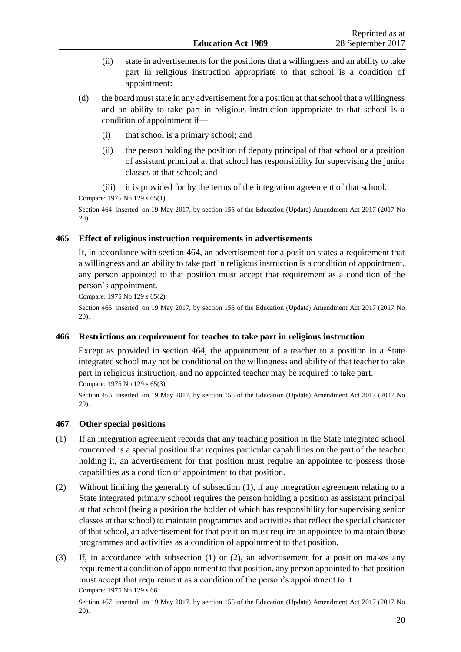- (ii) state in advertisements for the positions that a willingness and an ability to take part in religious instruction appropriate to that school is a condition of appointment:
- (d) the board must state in any advertisement for a position at that school that a willingness and an ability to take part in religious instruction appropriate to that school is a condition of appointment if—
	- (i) that school is a primary school; and
	- (ii) the person holding the position of deputy principal of that school or a position of assistant principal at that school has responsibility for supervising the junior classes at that school; and
	- (iii) it is provided for by the terms of the integration agreement of that school.

Compare: 1975 No 129 [s 65\(1\)](http://prd-lgnz-nlb.prd.pco.net.nz/pdflink.aspx?id=DLM437659)

Section 464: inserted, on 19 May 2017, by [section 155 o](http://prd-lgnz-nlb.prd.pco.net.nz/pdflink.aspx?id=DLM6928926)f the Education (Update) Amendment Act 2017 (2017 No 20).

# **465 Effect of religious instruction requirements in advertisements**

If, in accordance with section 464, an advertisement for a position states a requirement that a willingness and an ability to take part in religious instruction is a condition of appointment, any person appointed to that position must accept that requirement as a condition of the person's appointment.

Compare: 1975 No 129 [s 65\(2\)](http://prd-lgnz-nlb.prd.pco.net.nz/pdflink.aspx?id=DLM437659)

Section 465: inserted, on 19 May 2017, by [section 155 o](http://prd-lgnz-nlb.prd.pco.net.nz/pdflink.aspx?id=DLM6928926)f the Education (Update) Amendment Act 2017 (2017 No 20).

# **466 Restrictions on requirement for teacher to take part in religious instruction**

Except as provided in section 464, the appointment of a teacher to a position in a State integrated school may not be conditional on the willingness and ability of that teacher to take part in religious instruction, and no appointed teacher may be required to take part.

Compare: 1975 No 129 [s 65\(3\)](http://prd-lgnz-nlb.prd.pco.net.nz/pdflink.aspx?id=DLM437659)

Section 466: inserted, on 19 May 2017, by [section 155 o](http://prd-lgnz-nlb.prd.pco.net.nz/pdflink.aspx?id=DLM6928926)f the Education (Update) Amendment Act 2017 (2017 No 20).

# **467 Other special positions**

- (1) If an integration agreement records that any teaching position in the State integrated school concerned is a special position that requires particular capabilities on the part of the teacher holding it, an advertisement for that position must require an appointee to possess those capabilities as a condition of appointment to that position.
- (2) Without limiting the generality of subsection (1), if any integration agreement relating to a State integrated primary school requires the person holding a position as assistant principal at that school (being a position the holder of which has responsibility for supervising senior classes at that school) to maintain programmes and activities that reflect the special character of that school, an advertisement for that position must require an appointee to maintain those programmes and activities as a condition of appointment to that position.
- (3) If, in accordance with subsection (1) or (2), an advertisement for a position makes any requirement a condition of appointment to that position, any person appointed to that position must accept that requirement as a condition of the person's appointment to it. Compare: 1975 No 129 [s 66](http://prd-lgnz-nlb.prd.pco.net.nz/pdflink.aspx?id=DLM437661)

Section 467: inserted, on 19 May 2017, by [section 155 o](http://prd-lgnz-nlb.prd.pco.net.nz/pdflink.aspx?id=DLM6928926)f the Education (Update) Amendment Act 2017 (2017 No 20).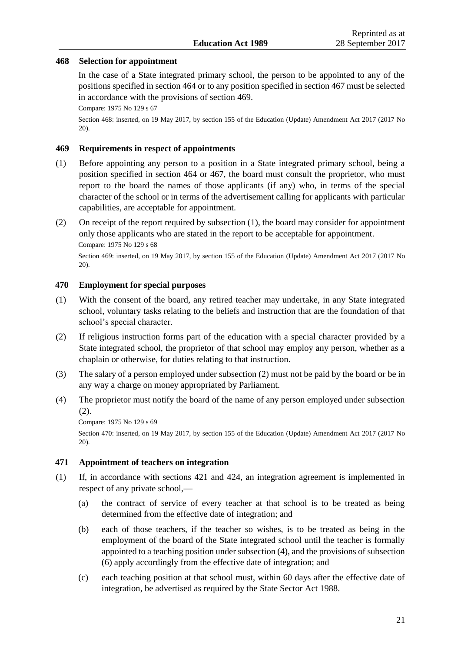### **468 Selection for appointment**

In the case of a State integrated primary school, the person to be appointed to any of the positions specified in section 464 or to any position specified in section 467 must be selected in accordance with the provisions of section 469.

Compare: 1975 No 129 [s 67](http://prd-lgnz-nlb.prd.pco.net.nz/pdflink.aspx?id=DLM437663)

Section 468: inserted, on 19 May 2017, by [section 155 o](http://prd-lgnz-nlb.prd.pco.net.nz/pdflink.aspx?id=DLM6928926)f the Education (Update) Amendment Act 2017 (2017 No 20).

# **469 Requirements in respect of appointments**

- (1) Before appointing any person to a position in a State integrated primary school, being a position specified in section 464 or 467, the board must consult the proprietor, who must report to the board the names of those applicants (if any) who, in terms of the special character of the school or in terms of the advertisement calling for applicants with particular capabilities, are acceptable for appointment.
- (2) On receipt of the report required by subsection (1), the board may consider for appointment only those applicants who are stated in the report to be acceptable for appointment. Compare: 1975 No 129 [s 68](http://prd-lgnz-nlb.prd.pco.net.nz/pdflink.aspx?id=DLM437664)

Section 469: inserted, on 19 May 2017, by [section 155 o](http://prd-lgnz-nlb.prd.pco.net.nz/pdflink.aspx?id=DLM6928926)f the Education (Update) Amendment Act 2017 (2017 No 20).

# **470 Employment for special purposes**

- (1) With the consent of the board, any retired teacher may undertake, in any State integrated school, voluntary tasks relating to the beliefs and instruction that are the foundation of that school's special character.
- (2) If religious instruction forms part of the education with a special character provided by a State integrated school, the proprietor of that school may employ any person, whether as a chaplain or otherwise, for duties relating to that instruction.
- (3) The salary of a person employed under subsection (2) must not be paid by the board or be in any way a charge on money appropriated by Parliament.
- (4) The proprietor must notify the board of the name of any person employed under subsection (2).

Compare: 1975 No 129 s [69](http://prd-lgnz-nlb.prd.pco.net.nz/pdflink.aspx?id=DLM437668)

Section 470: inserted, on 19 May 2017, by [section 155 o](http://prd-lgnz-nlb.prd.pco.net.nz/pdflink.aspx?id=DLM6928926)f the Education (Update) Amendment Act 2017 (2017 No 20).

#### **471 Appointment of teachers on integration**

- (1) If, in accordance with sections 421 and 424, an integration agreement is implemented in respect of any private school,—
	- (a) the contract of service of every teacher at that school is to be treated as being determined from the effective date of integration; and
	- (b) each of those teachers, if the teacher so wishes, is to be treated as being in the employment of the board of the State integrated school until the teacher is formally appointed to a teaching position under subsection (4), and the provisions of subsection (6) apply accordingly from the effective date of integration; and
	- (c) each teaching position at that school must, within 60 days after the effective date of integration, be advertised as required by the [State Sector Act 1988.](http://prd-lgnz-nlb.prd.pco.net.nz/pdflink.aspx?id=DLM129109)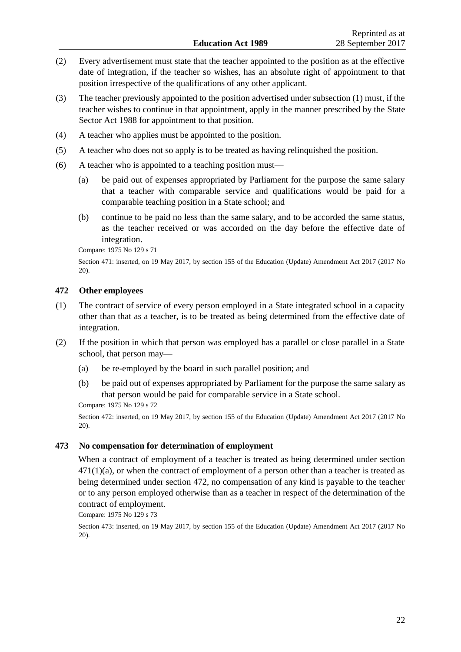- (2) Every advertisement must state that the teacher appointed to the position as at the effective date of integration, if the teacher so wishes, has an absolute right of appointment to that position irrespective of the qualifications of any other applicant.
- (3) The teacher previously appointed to the position advertised under subsection (1) must, if the teacher wishes to continue in that appointment, apply in the manner prescribed by the [State](http://prd-lgnz-nlb.prd.pco.net.nz/pdflink.aspx?id=DLM129109)  [Sector Act 1988](http://prd-lgnz-nlb.prd.pco.net.nz/pdflink.aspx?id=DLM129109) for appointment to that position.
- (4) A teacher who applies must be appointed to the position.
- (5) A teacher who does not so apply is to be treated as having relinquished the position.
- (6) A teacher who is appointed to a teaching position must—
	- (a) be paid out of expenses appropriated by Parliament for the purpose the same salary that a teacher with comparable service and qualifications would be paid for a comparable teaching position in a State school; and
	- (b) continue to be paid no less than the same salary, and to be accorded the same status, as the teacher received or was accorded on the day before the effective date of integration.

Compare: 1975 No 129 [s 71](http://prd-lgnz-nlb.prd.pco.net.nz/pdflink.aspx?id=DLM437673)

Section 471: inserted, on 19 May 2017, by [section 155 o](http://prd-lgnz-nlb.prd.pco.net.nz/pdflink.aspx?id=DLM6928926)f the Education (Update) Amendment Act 2017 (2017 No 20).

### **472 Other employees**

- (1) The contract of service of every person employed in a State integrated school in a capacity other than that as a teacher, is to be treated as being determined from the effective date of integration.
- (2) If the position in which that person was employed has a parallel or close parallel in a State school, that person may—
	- (a) be re-employed by the board in such parallel position; and
	- (b) be paid out of expenses appropriated by Parliament for the purpose the same salary as that person would be paid for comparable service in a State school.

Compare: 1975 No 129 [s 72](http://prd-lgnz-nlb.prd.pco.net.nz/pdflink.aspx?id=DLM437677)

Section 472: inserted, on 19 May 2017, by [section 155 o](http://prd-lgnz-nlb.prd.pco.net.nz/pdflink.aspx?id=DLM6928926)f the Education (Update) Amendment Act 2017 (2017 No 20).

#### **473 No compensation for determination of employment**

When a contract of employment of a teacher is treated as being determined under section  $471(1)(a)$ , or when the contract of employment of a person other than a teacher is treated as being determined under section 472, no compensation of any kind is payable to the teacher or to any person employed otherwise than as a teacher in respect of the determination of the contract of employment.

Compare: 1975 No 129 [s 73](http://prd-lgnz-nlb.prd.pco.net.nz/pdflink.aspx?id=DLM437682)

Section 473: inserted, on 19 May 2017, by [section 155 o](http://prd-lgnz-nlb.prd.pco.net.nz/pdflink.aspx?id=DLM6928926)f the Education (Update) Amendment Act 2017 (2017 No 20).